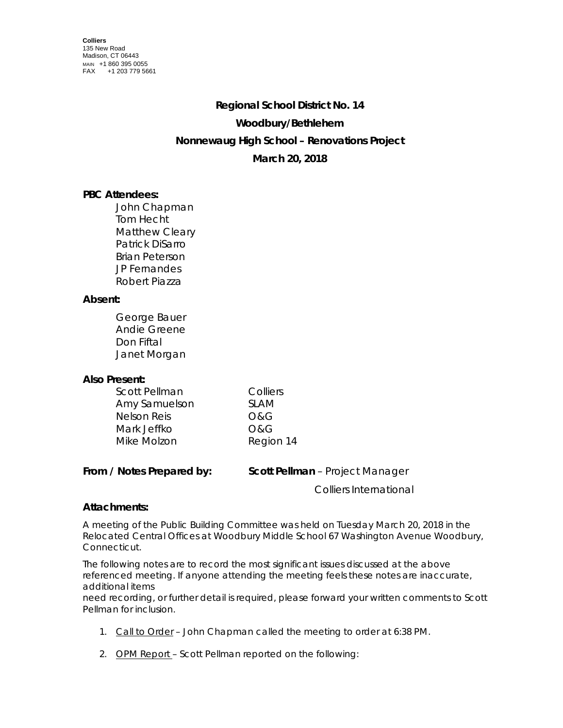# **Regional School District No. 14 Woodbury/Bethlehem Nonnewaug High School – Renovations Project March 20, 2018**

# **PBC Attendees:**

John Chapman Tom Hecht Matthew Cleary Patrick DiSarro Brian Peterson JP Fernandes Robert Piazza

## **Absent:**

George Bauer Andie Greene Don Fiftal Janet Morgan

## **Also Present:**

| Scott Pellman      | Colliers  |
|--------------------|-----------|
| Amy Samuelson      | SI AM     |
| <b>Nelson Reis</b> | O&G       |
| Mark Jeffko        | O&G       |
| Mike Molzon        | Region 14 |

| From / Notes Prepared by: | <b>Scott Pellman</b> – Project Manager |
|---------------------------|----------------------------------------|
|                           | <b>Colliers International</b>          |

## **Attachments:**

A meeting of the Public Building Committee was held on Tuesday March 20, 2018 in the Relocated Central Offices at Woodbury Middle School 67 Washington Avenue Woodbury, Connecticut.

The following notes are to record the most significant issues discussed at the above referenced meeting. If anyone attending the meeting feels these notes are inaccurate, additional items

need recording, or further detail is required, please forward your written comments to Scott Pellman for inclusion.

- 1. Call to Order John Chapman called the meeting to order at 6:38 PM.
- 2. OPM Report Scott Pellman reported on the following: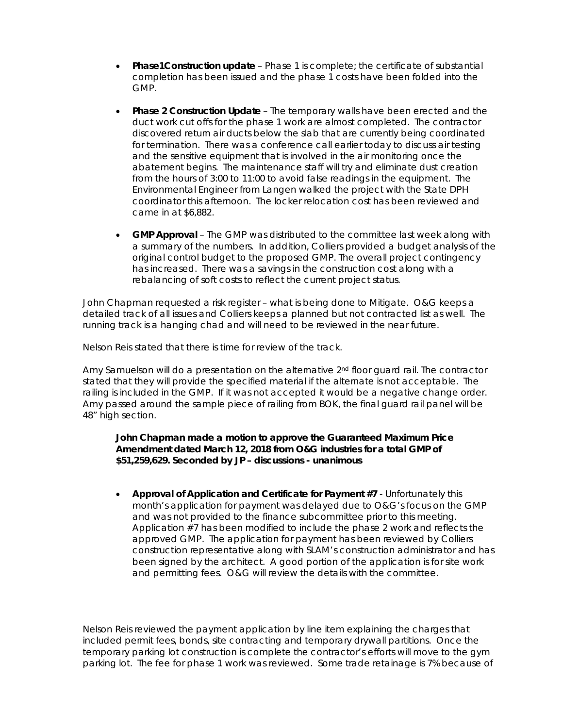- **Phase1Construction update** Phase 1 is complete; the certificate of substantial completion has been issued and the phase 1 costs have been folded into the GMP.
- **Phase 2 Construction Update** The temporary walls have been erected and the duct work cut offs for the phase 1 work are almost completed. The contractor discovered return air ducts below the slab that are currently being coordinated for termination. There was a conference call earlier today to discuss air testing and the sensitive equipment that is involved in the air monitoring once the abatement begins. The maintenance staff will try and eliminate dust creation from the hours of 3:00 to 11:00 to avoid false readings in the equipment. The Environmental Engineer from Langen walked the project with the State DPH coordinator this afternoon. The locker relocation cost has been reviewed and came in at \$6,882.
- **GMP Approval** The GMP was distributed to the committee last week along with a summary of the numbers. In addition, Colliers provided a budget analysis of the original control budget to the proposed GMP. The overall project contingency has increased. There was a savings in the construction cost along with a rebalancing of soft costs to reflect the current project status.

John Chapman requested a risk register – what is being done to Mitigate. O&G keeps a detailed track of all issues and Colliers keeps a planned but not contracted list as well. The running track is a hanging chad and will need to be reviewed in the near future.

Nelson Reis stated that there is time for review of the track.

Amy Samuelson will do a presentation on the alternative  $2<sup>nd</sup>$  floor quard rail. The contractor stated that they will provide the specified material if the alternate is not acceptable. The railing is included in the GMP. If it was not accepted it would be a negative change order. Amy passed around the sample piece of railing from BOK, the final guard rail panel will be 48" high section.

#### **John Chapman made a motion to approve the Guaranteed Maximum Price Amendment dated March 12, 2018 from O&G industries for a total GMP of \$51,259,629. Seconded by JP – discussions - unanimous**

• **Approval of Application and Certificate for Payment #7** - Unfortunately this month's application for payment was delayed due to O&G's focus on the GMP and was not provided to the finance subcommittee prior to this meeting. Application #7 has been modified to include the phase 2 work and reflects the approved GMP. The application for payment has been reviewed by Colliers construction representative along with SLAM's construction administrator and has been signed by the architect. A good portion of the application is for site work and permitting fees. O&G will review the details with the committee.

Nelson Reis reviewed the payment application by line item explaining the charges that included permit fees, bonds, site contracting and temporary drywall partitions. Once the temporary parking lot construction is complete the contractor's efforts will move to the gym parking lot. The fee for phase 1 work was reviewed. Some trade retainage is 7% because of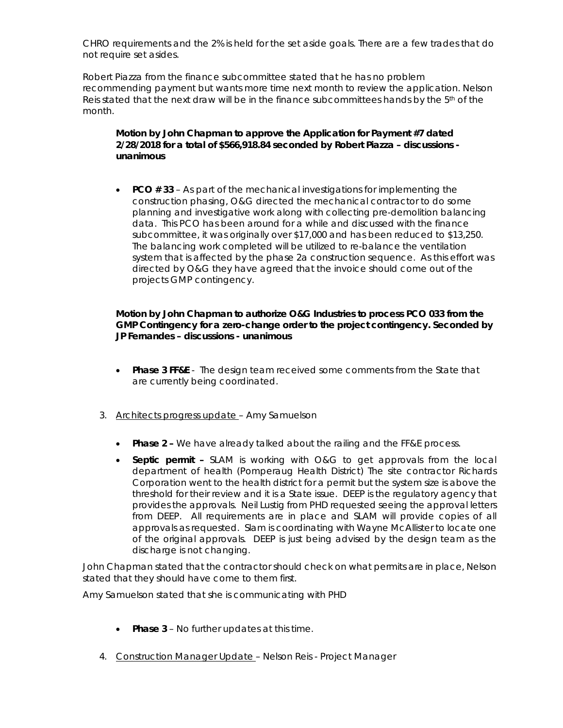CHRO requirements and the 2% is held for the set aside goals. There are a few trades that do not require set asides.

Robert Piazza from the finance subcommittee stated that he has no problem recommending payment but wants more time next month to review the application. Nelson Reis stated that the next draw will be in the finance subcommittees hands by the  $5<sup>th</sup>$  of the month.

#### **Motion by John Chapman to approve the Application for Payment #7 dated 2/28/2018 for a total of \$566,918.84 seconded by Robert Piazza – discussions unanimous**

• **PCO # 33** – As part of the mechanical investigations for implementing the construction phasing, O&G directed the mechanical contractor to do some planning and investigative work along with collecting pre-demolition balancing data. This PCO has been around for a while and discussed with the finance subcommittee, it was originally over \$17,000 and has been reduced to \$13,250. The balancing work completed will be utilized to re-balance the ventilation system that is affected by the phase 2a construction sequence. As this effort was directed by O&G they have agreed that the invoice should come out of the projects GMP contingency.

#### **Motion by John Chapman to authorize O&G Industries to process PCO 033 from the GMP Contingency for a zero-change order to the project contingency. Seconded by JP Fernandes – discussions - unanimous**

- **Phase 3 FF&E**  The design team received some comments from the State that are currently being coordinated.
- 3. Architects progress update Amy Samuelson
	- **Phase 2 -** We have already talked about the railing and the FF&E process.
	- **Septic permit –** SLAM is working with O&G to get approvals from the local department of health (Pomperaug Health District) The site contractor Richards Corporation went to the health district for a permit but the system size is above the threshold for their review and it is a State issue. DEEP is the regulatory agency that provides the approvals. Neil Lustig from PHD requested seeing the approval letters from DEEP. All requirements are in place and SLAM will provide copies of all approvals as requested. Slam is coordinating with Wayne McAllister to locate one of the original approvals. DEEP is just being advised by the design team as the discharge is not changing.

John Chapman stated that the contractor should check on what permits are in place, Nelson stated that they should have come to them first.

Amy Samuelson stated that she is communicating with PHD

- **Phase 3** No further updates at this time.
- 4. Construction Manager Update Nelson Reis Project Manager